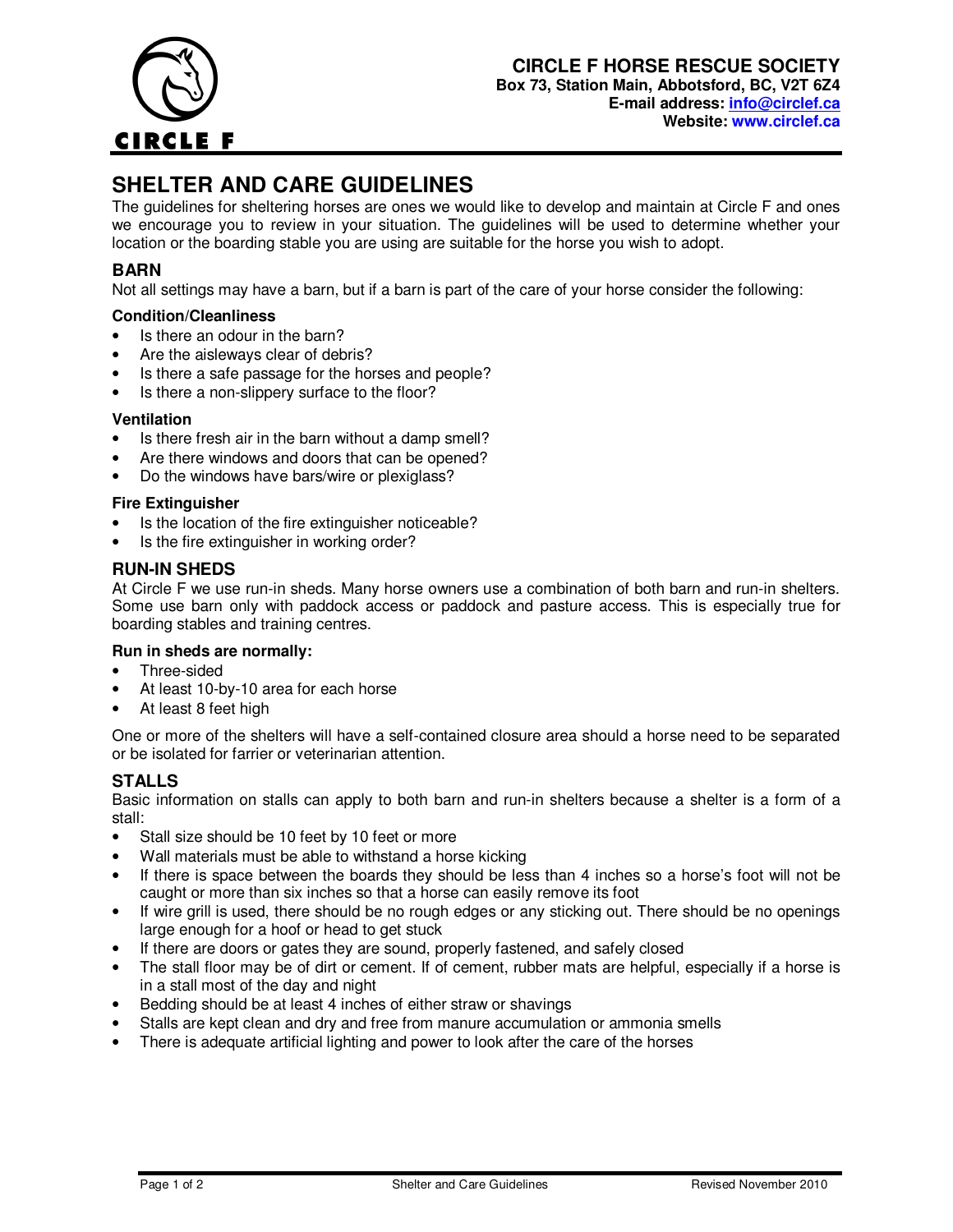

# **SHELTER AND CARE GUIDELINES**

The guidelines for sheltering horses are ones we would like to develop and maintain at Circle F and ones we encourage you to review in your situation. The guidelines will be used to determine whether your location or the boarding stable you are using are suitable for the horse you wish to adopt.

## **BARN**

Not all settings may have a barn, but if a barn is part of the care of your horse consider the following:

### **Condition/Cleanliness**

- Is there an odour in the barn?
- Are the aisleways clear of debris?
- Is there a safe passage for the horses and people?
- Is there a non-slippery surface to the floor?

#### **Ventilation**

- Is there fresh air in the barn without a damp smell?
- Are there windows and doors that can be opened?
- Do the windows have bars/wire or plexiglass?

#### **Fire Extinguisher**

- Is the location of the fire extinguisher noticeable?
- Is the fire extinguisher in working order?

### **RUN-IN SHEDS**

At Circle F we use run-in sheds. Many horse owners use a combination of both barn and run-in shelters. Some use barn only with paddock access or paddock and pasture access. This is especially true for boarding stables and training centres.

#### **Run in sheds are normally:**

- Three-sided
- At least 10-by-10 area for each horse
- At least 8 feet high

One or more of the shelters will have a self-contained closure area should a horse need to be separated or be isolated for farrier or veterinarian attention.

## **STALLS**

Basic information on stalls can apply to both barn and run-in shelters because a shelter is a form of a stall:

- Stall size should be 10 feet by 10 feet or more
- Wall materials must be able to withstand a horse kicking
- If there is space between the boards they should be less than 4 inches so a horse's foot will not be caught or more than six inches so that a horse can easily remove its foot
- If wire grill is used, there should be no rough edges or any sticking out. There should be no openings large enough for a hoof or head to get stuck
- If there are doors or gates they are sound, properly fastened, and safely closed
- The stall floor may be of dirt or cement. If of cement, rubber mats are helpful, especially if a horse is in a stall most of the day and night
- Bedding should be at least 4 inches of either straw or shavings
- Stalls are kept clean and dry and free from manure accumulation or ammonia smells
- There is adequate artificial lighting and power to look after the care of the horses